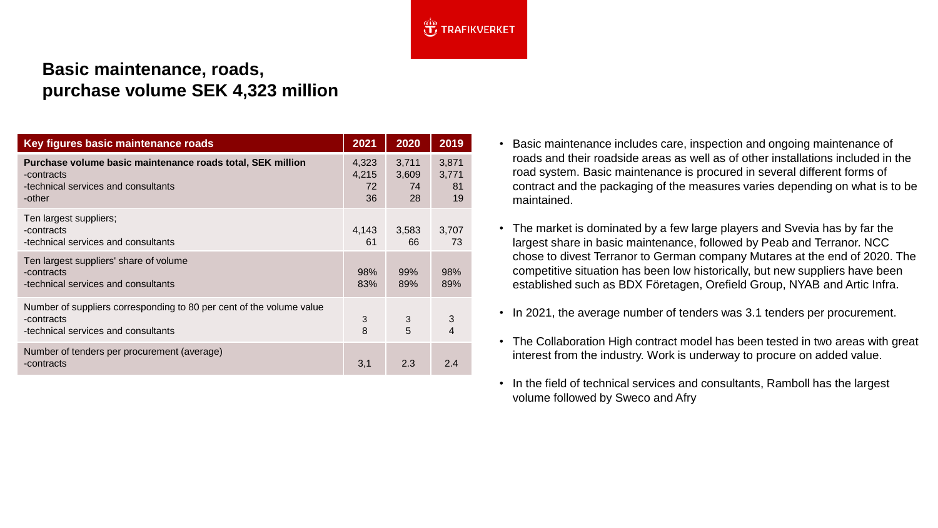

## **Basic maintenance, roads, purchase volume SEK 4,323 million**

| Key figures basic maintenance roads                                                                                       | 2021                       | 2020                       | 2019                       |
|---------------------------------------------------------------------------------------------------------------------------|----------------------------|----------------------------|----------------------------|
| Purchase volume basic maintenance roads total, SEK million<br>-contracts<br>-technical services and consultants<br>-other | 4,323<br>4,215<br>72<br>36 | 3,711<br>3,609<br>74<br>28 | 3,871<br>3,771<br>81<br>19 |
| Ten largest suppliers;<br>-contracts<br>-technical services and consultants                                               | 4,143<br>61                | 3,583<br>66                | 3,707<br>73                |
| Ten largest suppliers' share of volume<br>-contracts<br>-technical services and consultants                               | 98%<br>83%                 | 99%<br>89%                 | 98%<br>89%                 |
| Number of suppliers corresponding to 80 per cent of the volume value<br>-contracts<br>-technical services and consultants | 3<br>8                     | 3<br>5                     | 3<br>4                     |
| Number of tenders per procurement (average)<br>-contracts                                                                 | 3,1                        | 2.3                        | 2.4                        |

- Basic maintenance includes care, inspection and ongoing maintenance of roads and their roadside areas as well as of other installations included in the road system. Basic maintenance is procured in several different forms of contract and the packaging of the measures varies depending on what is to be maintained.
- The market is dominated by a few large players and Svevia has by far the largest share in basic maintenance, followed by Peab and Terranor. NCC chose to divest Terranor to German company Mutares at the end of 2020. The competitive situation has been low historically, but new suppliers have been established such as BDX Företagen, Orefield Group, NYAB and Artic Infra.
- In 2021, the average number of tenders was 3.1 tenders per procurement.
- The Collaboration High contract model has been tested in two areas with great interest from the industry. Work is underway to procure on added value.
- In the field of technical services and consultants, Ramboll has the largest volume followed by Sweco and Afry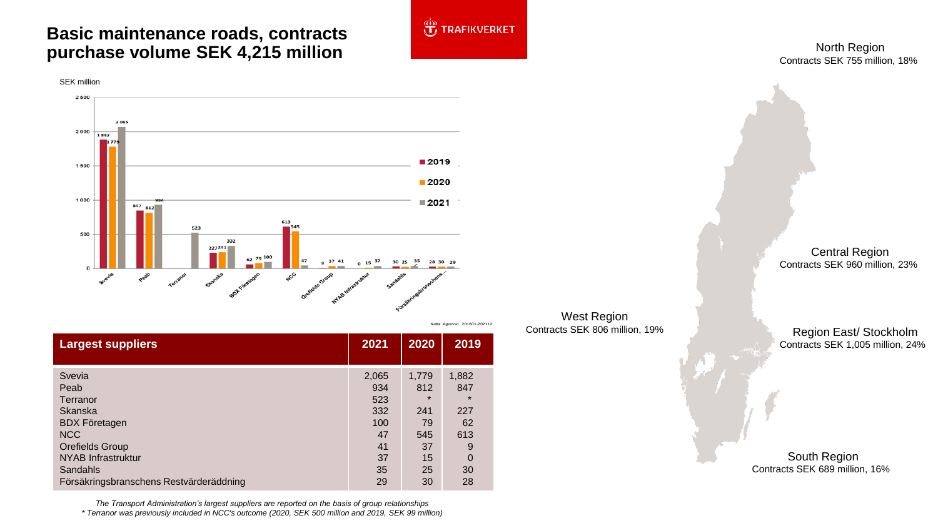## **Basic maintenance roads, contracts purchase volume SEK 4,215 million**



| <b>Largest suppliers</b>                | 2021  | 2020    | 2019     |
|-----------------------------------------|-------|---------|----------|
| Svevia                                  | 2,065 | 1.779   | 1,882    |
| Peab                                    | 934   | 812     | 847      |
| Terranor                                | 523   | $\star$ | $\star$  |
| <b>Skanska</b>                          | 332   | 241     | 227      |
| <b>BDX Företagen</b>                    | 100   | 79      | 62       |
| <b>NCC</b>                              | 47    | 545     | 613      |
| <b>Orefields Group</b>                  | 41    | 37      | 9        |
| NYAB Infrastruktur                      | 37    | 15      | $\Omega$ |
| Sandahls                                | 35    | 25      | 30       |
| Försäkringsbranschens Restvärderäddning | 29    | 30      | 28       |

*The Transport Administration's largest suppliers are reported on the basis of group relationships \* Terranor was previously included in NCC's outcome (2020, SEK 500 million and 2019, SEK 99 million)*



Kalla: Agresso 201801-202112

North Region Contracts SEK 755 million, 18%

West Region Contracts SEK 806 million, 19%

Central Region Contracts SEK 960 million, 23%

Region East/ Stockholm Contracts SEK 1,005 million, 24%

South Region Contracts SEK 689 million, 16%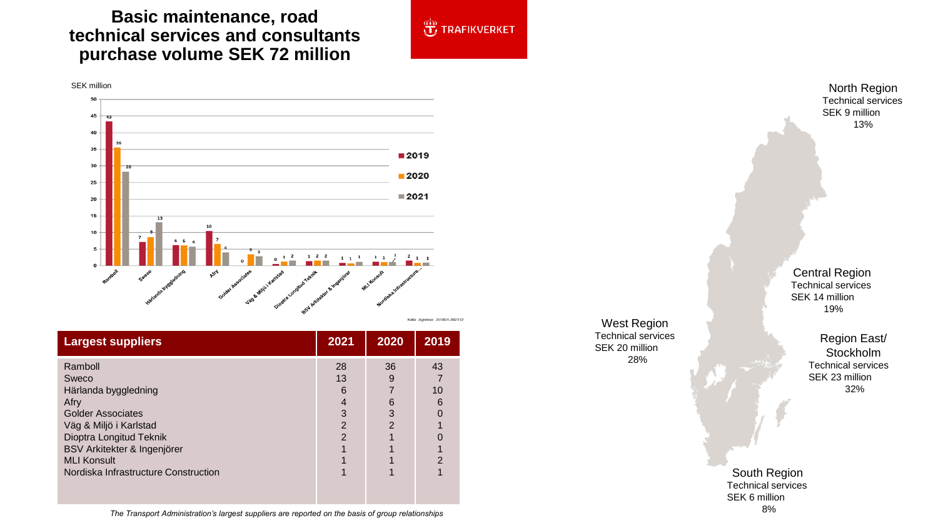## **Basic maintenance, road technical services and consultants purchase volume SEK 72 million**



|  | Källa: Agresso 201801-202112 |
|--|------------------------------|
|  |                              |

**JE TRAFIKVERKET** 

| <b>Largest suppliers</b>                                                                                                                                                                                                       | 2021                                      | 2020                                | 2019                           |
|--------------------------------------------------------------------------------------------------------------------------------------------------------------------------------------------------------------------------------|-------------------------------------------|-------------------------------------|--------------------------------|
| Ramboll<br>Sweco<br>Härlanda byggledning<br>Afry<br><b>Golder Associates</b><br>Väg & Miljö i Karlstad<br>Dioptra Longitud Teknik<br>BSV Arkitekter & Ingenjörer<br><b>MLI Konsult</b><br>Nordiska Infrastructure Construction | 28<br>13<br>6<br>3<br>2<br>$\overline{2}$ | 36<br>9<br>6<br>3<br>$\mathfrak{p}$ | 43<br>10<br>6<br>$\mathcal{P}$ |

West Region Technical services SEK 20 million 28%

North Region Technical services SEK 9 million 13%

Central Region Technical services SEK 14 million 19%

> Region East/ Stockholm Technical services SEK 23 million 32%

South Region Technical services SEK 6 million 8%

*The Transport Administration's largest suppliers are reported on the basis of group relationships*